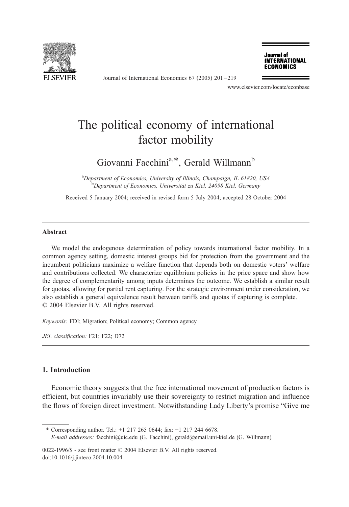

Journal of International Economics 67 (2005) 201 – 219

Journal of **INTERNATIONAL ECONOMICS** 

www.elsevier.com/locate/econbase

# The political economy of international factor mobility

Giovanni Facchini<sup>a,\*</sup>, Gerald Willmann<sup>b</sup>

<sup>a</sup>Department of Economics, University of Illinois, Champaign, IL 61820, USA <sup>b</sup>Department of Economics, Universität zu Kiel, 24098 Kiel, Germany

Received 5 January 2004; received in revised form 5 July 2004; accepted 28 October 2004

## Abstract

We model the endogenous determination of policy towards international factor mobility. In a common agency setting, domestic interest groups bid for protection from the government and the incumbent politicians maximize a welfare function that depends both on domestic voters' welfare and contributions collected. We characterize equilibrium policies in the price space and show how the degree of complementarity among inputs determines the outcome. We establish a similar result for quotas, allowing for partial rent capturing. For the strategic environment under consideration, we also establish a general equivalence result between tariffs and quotas if capturing is complete.  $\odot$  2004 Elsevier B.V. All rights reserved.

Keywords: FDI; Migration; Political economy; Common agency

JEL classification: F21; F22; D72

# 1. Introduction

Economic theory suggests that the free international movement of production factors is efficient, but countries invariably use their sovereignty to restrict migration and influence the flows of foreign direct investment. Notwithstanding Lady Liberty's promise "Give me

\* Corresponding author. Tel.: +1 217 265 0644; fax: +1 217 244 6678. E-mail addresses: facchini@uic.edu (G. Facchini), gerald@email.uni-kiel.de (G. Willmann).

0022-1996/\$ - see front matter © 2004 Elsevier B.V. All rights reserved. doi:10.1016/j.jinteco.2004.10.004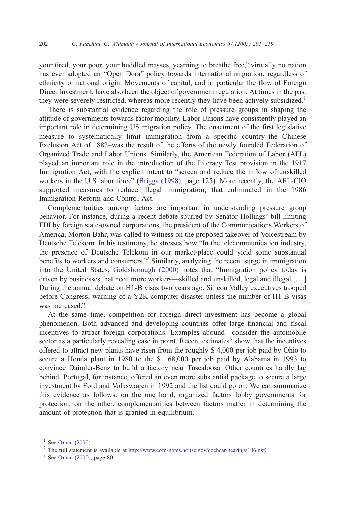your tired, your poor, your huddled masses, yearning to breathe free," virtually no nation has ever adopted an "Open Door" policy towards international migration, regardless of ethnicity or national origin. Movements of capital, and in particular the flow of Foreign Direct Investment, have also been the object of government regulation. At times in the past they were severely restricted, whereas more recently they have been actively subsidized.<sup>1</sup>

There is substantial evidence regarding the role of pressure groups in shaping the attitude of governments towards factor mobility. Labor Unions have consistently played an important role in determining US migration policy. The enactment of the first legislative measure to systematically limit immigration from a specific country–the Chinese Exclusion Act of 1882–was the result of the efforts of the newly founded Federation of Organized Trade and Labor Unions. Similarly, the American Federation of Labor (AFL) played an important role in the introduction of the Literacy Test provision in the 1917 Immigration Act, with the explicit intent to "screen and reduce the inflow of unskilled workers in the U.S labor force" ([Briggs \(1998\),](#page-17-0) page 125). More recently, the AFL-CIO supported measures to reduce illegal immigration, that culminated in the 1986 Immigration Reform and Control Act.

Complementarities among factors are important in understanding pressure group behavior. For instance, during a recent debate spurred by Senator Hollings' bill limiting FDI by foreign state-owned corporations, the president of the Communications Workers of America, Morton Bahr, was called to witness on the proposed takeover of Voicestream by Deutsche Telekom. In his testimony, he stresses how "In the telecommunication industry, the presence of Deutsche Telekom in our market-place could yield some substantial benefits to workers and consumers."<sup>2</sup> Similarly, analyzing the recent surge in immigration into the United States, [Goldsborough \(2000\)](#page-17-0) notes that "Immigration policy today is driven by businesses that need more workers—skilled and unskilled, legal and illegal [...] During the annual debate on H1-B visas two years ago, Silicon Valley executives trooped before Congress, warning of a Y2K computer disaster unless the number of H1-B visas was increased."

At the same time, competition for foreign direct investment has become a global phenomenon. Both advanced and developing countries offer large financial and fiscal incentives to attract foreign corporations. Examples abound—consider the automobile sector as a particularly revealing case in point. Recent estimates<sup>3</sup> show that the incentives offered to attract new plants have risen from the roughly \$ 4,000 per job paid by Ohio to secure a Honda plant in 1980 to the \$ 168,000 per job paid by Alabama in 1993 to convince Daimler-Benz to build a factory near Tuscaloosa. Other countries hardly lag behind. Portugal, for instance, offered an even more substantial package to secure a large investment by Ford and Volkswagen in 1992 and the list could go on. We can summarize this evidence as follows: on the one hand, organized factors lobby governments for protection; on the other, complementarities between factors matter in determining the amount of protection that is granted in equilibrium.

<sup>&</sup>lt;sup>1</sup> See [Oman \(2000\).](#page-18-0) <sup>2</sup> The full statement is available at [http://www.com-notes.house.gov/ccchear/hearings106.nsf.](http://www.com-notes.house.gov/ccchear/hearings106.nsf)

 $3$  See [Oman \(2000\),](#page-18-0) page 80.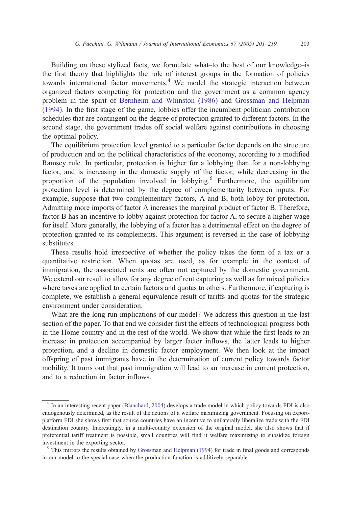Building on these stylized facts, we formulate what–to the best of our knowledge–is the first theory that highlights the role of interest groups in the formation of policies towards international factor movements.<sup>4</sup> We model the strategic interaction between organized factors competing for protection and the government as a common agency problem in the spirit of [Bernheim and Whinston \(1986\)](#page-17-0) and [Grossman and Helpman](#page-17-0) (1994). In the first stage of the game, lobbies offer the incumbent politician contribution schedules that are contingent on the degree of protection granted to different factors. In the second stage, the government trades off social welfare against contributions in choosing the optimal policy.

The equilibrium protection level granted to a particular factor depends on the structure of production and on the political characteristics of the economy, according to a modified Ramsey rule. In particular, protection is higher for a lobbying than for a non-lobbying factor, and is increasing in the domestic supply of the factor, while decreasing in the proportion of the population involved in lobbying.<sup>5</sup> Furthermore, the equilibrium protection level is determined by the degree of complementarity between inputs. For example, suppose that two complementary factors, A and B, both lobby for protection. Admitting more imports of factor A increases the marginal product of factor B. Therefore, factor B has an incentive to lobby against protection for factor A, to secure a higher wage for itself. More generally, the lobbying of a factor has a detrimental effect on the degree of protection granted to its complements. This argument is reversed in the case of lobbying substitutes.

These results hold irrespective of whether the policy takes the form of a tax or a quantitative restriction. When quotas are used, as for example in the context of immigration, the associated rents are often not captured by the domestic government. We extend our result to allow for any degree of rent capturing as well as for mixed policies where taxes are applied to certain factors and quotas to others. Furthermore, if capturing is complete, we establish a general equivalence result of tariffs and quotas for the strategic environment under consideration.

What are the long run implications of our model? We address this question in the last section of the paper. To that end we consider first the effects of technological progress both in the Home country and in the rest of the world. We show that while the first leads to an increase in protection accompanied by larger factor inflows, the latter leads to higher protection, and a decline in domestic factor employment. We then look at the impact offspring of past immigrants have in the determination of current policy towards factor mobility. It turns out that past immigration will lead to an increase in current protection, and to a reduction in factor inflows.

<sup>4</sup> In an interesting recent paper ([Blanchard, 2004\)](#page-17-0) develops a trade model in which policy towards FDI is also endogenously determined, as the result of the actions of a welfare maximizing government. Focusing on exportplatform FDI she shows first that source countries have an incentive to unilaterally liberalize trade with the FDI destination country. Interestingly, in a multi-country extension of the original model, she also shows that if preferential tariff treatment is possible, small countries will find it welfare maximizing to subsidize foreign investment in the exporting sector.

<sup>&</sup>lt;sup>5</sup> This mirrors the results obtained by [Grossman and Helpman \(1994\)](#page-17-0) for trade in final goods and corresponds in our model to the special case when the production function is additively separable.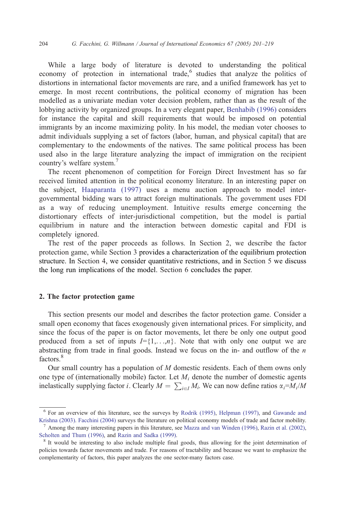While a large body of literature is devoted to understanding the political economy of protection in international trade,<sup>6</sup> studies that analyze the politics of distortions in international factor movements are rare, and a unified framework has yet to emerge. In most recent contributions, the political economy of migration has been modelled as a univariate median voter decision problem, rather than as the result of the lobbying activity by organized groups. In a very elegant paper, [Benhabib \(1996\)](#page-17-0) considers for instance the capital and skill requirements that would be imposed on potential immigrants by an income maximizing polity. In his model, the median voter chooses to admit individuals supplying a set of factors (labor, human, and physical capital) that are complementary to the endowments of the natives. The same political process has been used also in the large literature analyzing the impact of immigration on the recipient country's welfare system.<sup>7</sup>

The recent phenomenon of competition for Foreign Direct Investment has so far received limited attention in the political economy literature. In an interesting paper on the subject, [Haaparanta \(1997\)](#page-18-0) uses a menu auction approach to model intergovernmental bidding wars to attract foreign multinationals. The government uses FDI as a way of reducing unemployment. Intuitive results emerge concerning the distortionary effects of inter-jurisdictional competition, but the model is partial equilibrium in nature and the interaction between domestic capital and FDI is completely ignored.

The rest of the paper proceeds as follows. In Section 2, we describe the factor protection game, while Section 3 provides a characterization of the equilibrium protection structure. In Section 4, we consider quantitative restrictions, and in Section 5 we discuss the long run implications of the model. Section 6 concludes the paper.

#### 2. The factor protection game

This section presents our model and describes the factor protection game. Consider a small open economy that faces exogenously given international prices. For simplicity, and since the focus of the paper is on factor movements, let there be only one output good produced from a set of inputs  $I = \{1, \ldots, n\}$ . Note that with only one output we are abstracting from trade in final goods. Instead we focus on the in- and outflow of the  $n$ factors.<sup>8</sup>

Our small country has a population of  $M$  domestic residents. Each of them owns only one type of (internationally mobile) factor. Let  $M_i$  denote the number of domestic agents inelastically supplying factor *i*. Clearly  $M = \sum_{i \in I} M_i$ . We can now define ratios  $\alpha_i = M_i/M$ 

<sup>&</sup>lt;sup>6</sup> For an overview of this literature, see the surveys by [Rodrik \(1995\),](#page-18-0) [Helpman \(1997\),](#page-18-0) and [Gawande and](#page-17-0) Krishna (2003). Facchini (2004) surveys the literature on political economy models of trade and factor mobility.

<sup>&</sup>lt;sup>7</sup> Among the many interesting papers in this literature, see [Mazza and van Winden \(1996\),](#page-18-0) [Razin et al. \(2002\),](#page-18-0) [Scholten and Thum \(1996\),](#page-18-0) and [Razin and Sadka \(1999\).](#page-18-0)<br><sup>8</sup> It would be interesting to also include multiple final goods, thus allowing for the joint determination of

policies towards factor movements and trade. For reasons of tractability and because we want to emphasize the complementarity of factors, this paper analyzes the one sector-many factors case.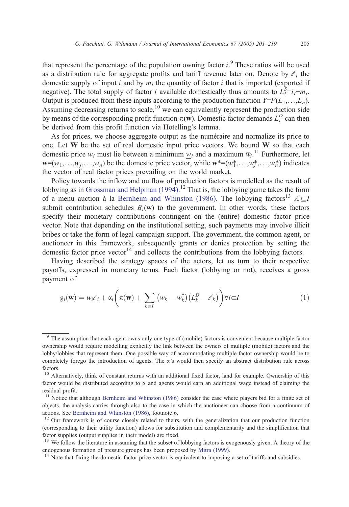that represent the percentage of the population owning factor  $i$ . <sup>9</sup> These ratios will be used as a distribution rule for aggregate profits and tariff revenue later on. Denote by  $\ell_i$  the domestic supply of input i and by  $m_i$  the quantity of factor i that is imported (exported if negative). The total supply of factor *i* available domestically thus amounts to  $L_i^{\hat{S}} = i_1 + m_i$ . Output is produced from these inputs according to the production function  $Y=F(L_1,...,L_n)$ . Assuming decreasing returns to scale,  $^{10}$  we can equivalently represent the production side by means of the corresponding profit function  $\pi(\mathbf{w})$ . Domestic factor demands  $L_i^D$  can then be derived from this profit function via Hotelling's lemma.

As for prices, we choose aggregate output as the numéraire and normalize its price to one. Let  $W$  be the set of real domestic input price vectors. We bound  $W$  so that each domestic price  $w_i$  must lie between a minimum  $\frac{w_i}{w_i}$  and a maximum  $\overline{w_i}$ .<sup>11</sup> Furthermore, let  $\mathbf{w}=(w_1,\ldots,w_i,\ldots,w_n)$  be the domestic price vector, while  $\mathbf{w}^*=(w^*,\ldots,w^*,\ldots,w^*_n)$  indicates the vector of real factor prices prevailing on the world market.

Policy towards the inflow and outflow of production factors is modelled as the result of lobbying as in [Grossman and Helpman \(1994\).](#page-17-0)<sup>12</sup> That is, the lobbying game takes the form of a menu auction à la [Bernheim and Whinston \(1986\).](#page-17-0) The lobbying factors<sup>13</sup>  $A \subseteq I$ submit contribution schedules  $B_i(\mathbf{w})$  to the government. In other words, these factors specify their monetary contributions contingent on the (entire) domestic factor price vector. Note that depending on the institutional setting, such payments may involve illicit bribes or take the form of legal campaign support. The government, the common agent, or auctioneer in this framework, subsequently grants or denies protection by setting the domestic factor price vector<sup>14</sup> and collects the contributions from the lobbying factors.

Having described the strategy spaces of the actors, let us turn to their respective payoffs, expressed in monetary terms. Each factor (lobbying or not), receives a gross payment of

$$
g_i(\mathbf{w}) = w_i \ell_i + \alpha_i \left( \pi(\mathbf{w}) + \sum_{k \in I} (w_k - w_k^*) \left( L_k^D - \ell_k \right) \right) \forall i \in I
$$
 (1)

<sup>&</sup>lt;sup>9</sup> The assumption that each agent owns only one type of (mobile) factors is convenient because multiple factor ownership would require modelling explicitly the link between the owners of multiple (mobile) factors and the lobby/lobbies that represent them. One possible way of accommodating multiple factor ownership would be to completely forego the introduction of agents. The  $\alpha$ 's would then specify an abstract distribution rule across factors.

<sup>&</sup>lt;sup>10</sup> Alternatively, think of constant returns with an additional fixed factor, land for example. Ownership of this factor would be distributed according to  $\alpha$  and agents would earn an additional wage instead of claiming the residual profit.

<sup>&</sup>lt;sup>11</sup> Notice that although [Bernheim and Whinston \(1986\)](#page-17-0) consider the case where players bid for a finite set of objects, the analysis carries through also to the case in which the auctioneer can choose from a continuum of actions. See [Bernheim and Whinston \(1986\),](#page-17-0) footnote 6.<br><sup>12</sup> Our framework is of course closely related to theirs, with the generalization that our production function

<sup>(</sup>corresponding to their utility function) allows for substitution and complementarity and the simplification that factor supplies (output supplies in their model) are fixed.

<sup>&</sup>lt;sup>13</sup> We follow the literature in assuming that the subset of lobbying factors is exogenously given. A theory of the endogenous formation of pressure groups has been proposed by [Mitra \(1999\).](#page-18-0)<br><sup>14</sup> Note that fixing the domestic factor price vector is equivalent to imposing a set of tariffs and subsidies.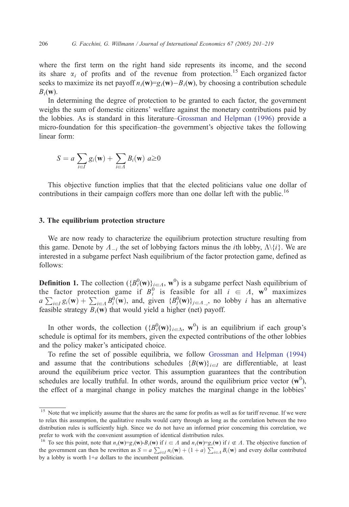where the first term on the right hand side represents its income, and the second its share  $\alpha_i$  of profits and of the revenue from protection.<sup>15</sup> Each organized factor seeks to maximize its net payoff  $n_i(\mathbf{w})=g_i(\mathbf{w})-B_i(\mathbf{w})$ , by choosing a contribution schedule  $B_i(\mathbf{w})$ .

In determining the degree of protection to be granted to each factor, the government weighs the sum of domestic citizens' welfare against the monetary contributions paid by the lobbies. As is standard in this literature–[Grossman and Helpman \(1996\)](#page-17-0) provide a micro-foundation for this specification–the government's objective takes the following linear form:

$$
S = a \sum_{i \in I} g_i(\mathbf{w}) + \sum_{i \in A} B_i(\mathbf{w}) \ a \geq 0
$$

This objective function implies that that the elected politicians value one dollar of contributions in their campaign coffers more than one dollar left with the public.<sup>16</sup>

#### 3. The equilibrium protection structure

We are now ready to characterize the equilibrium protection structure resulting from this game. Denote by  $A_{-i}$  the set of lobbying factors minus the *i*th lobby,  $\Lambda \setminus \{i\}$ . We are interested in a subgame perfect Nash equilibrium of the factor protection game, defined as follows:

**Definition 1.** The collection  $(\{B_i^0(w)\}_{i \in A}, w^0)$  is a subgame perfect Nash equilibrium of the factor protection game if  $B_i^0$  is feasible for all  $i \in A$ , w<sup>0</sup> maximizes a  $\sum_{i\in I} g_i(\mathbf{w}) + \sum_{i\in A} B_i^0(\mathbf{w})$ , and, given  $\{B_j^0(\mathbf{w})\}_{j\in A_{-i}}$ , no lobby *i* has an alternative feasible strategy  $B_i(\mathbf{w})$  that would yield a higher (net) payoff.

In other words, the collection  $({B_i^0(w)}_{i \in \Lambda}, w^0)$  is an equilibrium if each group's schedule is optimal for its members, given the expected contributions of the other lobbies and the policy maker's anticipated choice.

To refine the set of possible equilibria, we follow [Grossman and Helpman \(1994\)](#page-17-0) and assume that the contributions schedules  ${B(w)}_{i\in I}$  are differentiable, at least around the equilibrium price vector. This assumption guarantees that the contribution schedules are locally truthful. In other words, around the equilibrium price vector  $(w^0)$ , the effect of a marginal change in policy matches the marginal change in the lobbies'

<sup>&</sup>lt;sup>15</sup> Note that we implicitly assume that the shares are the same for profits as well as for tariff revenue. If we were to relax this assumption, the qualitative results would carry through as long as the correlation between the two distribution rules is sufficiently high. Since we do not have an informed prior concerning this correlation, we prefer to work with the convenient assumption of identical distribution rules.

<sup>&</sup>lt;sup>16</sup> To see this point, note that  $n_i(\mathbf{w})=g_i(\mathbf{w})-B_i(\mathbf{w})$  if  $i \in A$  and  $n_i(\mathbf{w})=g_i(\mathbf{w})$  if  $i \notin A$ . The objective function of the government can then be rewritten as  $S = a \sum_{i \in I} n_i(\mathbf{w}) + (1 + a) \sum_{i \in A} B_i(\mathbf{w})$  and every dollar contributed by a lobby is worth  $1+a$  dollars to the incumbent politician.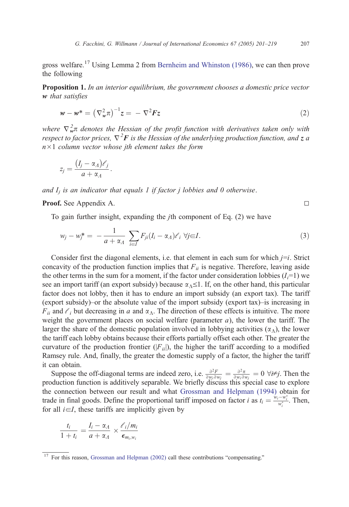gross welfare.<sup>17</sup> Using Lemma 2 from [Bernheim and Whinston \(1986\),](#page-17-0) we can then prove the following

**Proposition 1.** In an interior equilibrium, the government chooses a domestic price vector w that satisfies

$$
w - w^* = \left(\nabla_w^2 \pi\right)^{-1} z = -\nabla^2 F z \tag{2}
$$

where  $\nabla_w^2 \pi$  denotes the Hessian of the profit function with derivatives taken only with respect to factor prices,  $\nabla^2\bm{F}$  is the Hessian of the underlying production function, and  $z$  a  $n\times1$  column vector whose jth element takes the form

$$
z_j = \frac{(I_j - \alpha_A)\ell_j}{a + \alpha_A}.
$$

and  $I_i$  is an indicator that equals 1 if factor *j* lobbies and 0 otherwise.

**Proof.** See Appendix A.  $\Box$ 

To gain further insight, expanding the jth component of Eq. (2) we have

$$
w_j - w_j^* = -\frac{1}{a + \alpha_A} \sum_{i \in I} F_{ji}(I_i - \alpha_A) \ell_i \ \forall j \in I. \tag{3}
$$

Consider first the diagonal elements, i.e. that element in each sum for which  $j=i$ . Strict concavity of the production function implies that  $F_{ii}$  is negative. Therefore, leaving aside the other terms in the sum for a moment, if the factor under consideration lobbies  $(I<sub>i</sub>=1)$  we see an import tariff (an export subsidy) because  $\alpha_{\Lambda} \leq 1$ . If, on the other hand, this particular factor does not lobby, then it has to endure an import subsidy (an export tax). The tariff (export subsidy)–or the absolute value of the import subsidy (export tax)–is increasing in  $F_{ii}$  and  $\ell_i$  but decreasing in a and  $\alpha_{\Lambda}$ . The direction of these effects is intuitive. The more weight the government places on social welfare (parameter  $a$ ), the lower the tariff. The larger the share of the domestic population involved in lobbying activities  $(\alpha_{\Lambda})$ , the lower the tariff each lobby obtains because their efforts partially offset each other. The greater the curvature of the production frontier  $(|F_{ii}|)$ , the higher the tariff according to a modified Ramsey rule. And, finally, the greater the domestic supply of a factor, the higher the tariff it can obtain.

Suppose the off-diagonal terms are indeed zero, i.e.  $\frac{\partial^2 F}{\partial w_i \partial w_j} = \frac{\partial^2 \pi}{\partial w_i \partial w_j} = 0 \ \forall i \neq j$ . Then the production function is additively separable. We briefly discuss this special case to explore the connection between our result and what [Grossman and Helpman \(1994\)](#page-17-0) obtain for trade in final goods. Define the proportional tariff imposed on factor *i* as  $t_i = \frac{w_i - w_i^*}{w_i^*}$ . Then, for all  $i \in I$ , these tariffs are implicitly given by

$$
\frac{t_i}{1+t_i} = \frac{I_i - \alpha_A}{a + \alpha_A} \times \frac{\ell_i/m_i}{\epsilon_{m_i,w_i}}
$$

 $17$  For this reason, [Grossman and Helpman \(2002\)](#page-18-0) call these contributions "compensating."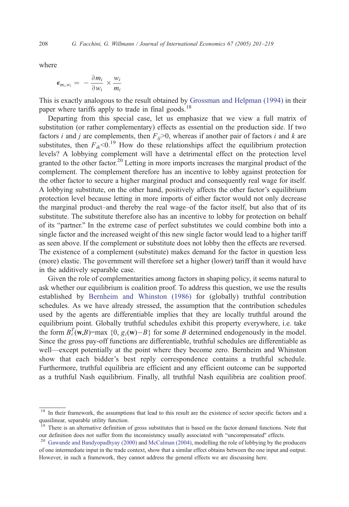where

$$
\epsilon_{m_i,w_i} = -\frac{\partial m_i}{\partial w_i} \times \frac{w_i}{m_i}
$$

This is exactly analogous to the result obtained by [Grossman and Helpman \(1994\)](#page-17-0) in their paper where tariffs apply to trade in final goods.<sup>18</sup>

Departing from this special case, let us emphasize that we view a full matrix of substitution (or rather complementary) effects as essential on the production side. If two factors i and j are complements, then  $F_{ii}$ >0, whereas if another pair of factors i and k are substitutes, then  $F_{ik}$ <0.<sup>19</sup> How do these relationships affect the equilibrium protection levels? A lobbying complement will have a detrimental effect on the protection level granted to the other factor.<sup>20</sup> Letting in more imports increases the marginal product of the complement. The complement therefore has an incentive to lobby against protection for the other factor to secure a higher marginal product and consequently real wage for itself. A lobbying substitute, on the other hand, positively affects the other factor's equilibrium protection level because letting in more imports of either factor would not only decrease the marginal product–and thereby the real wage–of the factor itself, but also that of its substitute. The substitute therefore also has an incentive to lobby for protection on behalf of its "partner." In the extreme case of perfect substitutes we could combine both into a single factor and the increased weight of this new single factor would lead to a higher tariff as seen above. If the complement or substitute does not lobby then the effects are reversed. The existence of a complement (substitute) makes demand for the factor in question less (more) elastic. The government will therefore set a higher (lower) tariff than it would have in the additively separable case.

Given the role of complementarities among factors in shaping policy, it seems natural to ask whether our equilibrium is coalition proof. To address this question, we use the results established by [Bernheim and Whinston \(1986\)](#page-17-0) for (globally) truthful contribution schedules. As we have already stressed, the assumption that the contribution schedules used by the agents are differentiable implies that they are locally truthful around the equilibrium point. Globally truthful schedules exhibit this property everywhere, i.e. take the form  $B_i^T(\mathbf{w},B)$ =max  $\{0, g_i(\mathbf{w})-B\}$  for some B determined endogenously in the model. Since the gross pay-off functions are differentiable, truthful schedules are differentiable as well—except potentially at the point where they become zero. Bernheim and Whinston show that each bidder's best reply correspondence contains a truthful schedule. Furthermore, truthful equilibria are efficient and any efficient outcome can be supported as a truthful Nash equilibrium. Finally, all truthful Nash equilibria are coalition proof.

<sup>&</sup>lt;sup>18</sup> In their framework, the assumptions that lead to this result are the existence of sector specific factors and a quasilinear, separable utility function.

<sup>&</sup>lt;sup>19</sup> There is an alternative definition of gross substitutes that is based on the factor demand functions. Note that our definition does not suffer from the inconsistency usually associated with "uncompensated" effects.

<sup>&</sup>lt;sup>20</sup> [Gawande and Bandyopadhyay \(2000\)](#page-18-0) and [McCalman \(2004\),](#page-18-0) modelling the role of lobbying by the producers of one intermediate input in the trade context, show that a similar effect obtains between the one input and output. However, in such a framework, they cannot address the general effects we are discussing here.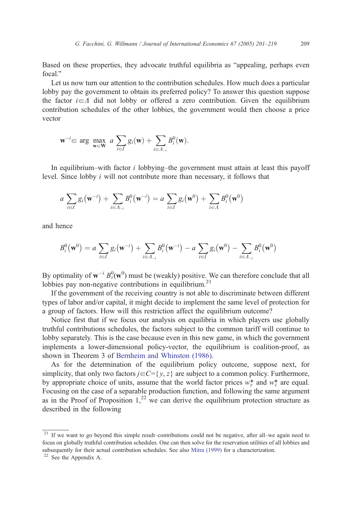Based on these properties, they advocate truthful equilibria as "appealing, perhaps even  $focal$ .

Let us now turn our attention to the contribution schedules. How much does a particular lobby pay the government to obtain its preferred policy? To answer this question suppose the factor  $i \in A$  did not lobby or offered a zero contribution. Given the equilibrium contribution schedules of the other lobbies, the government would then choose a price vector

$$
\mathbf{w}^{-i} \in \arg \max_{\mathbf{w} \in \mathbf{W}} a \sum_{i \in I} g_i(\mathbf{w}) + \sum_{i \in A_{-i}} B_i^0(\mathbf{w}).
$$

In equilibrium–with factor  $i$  lobbying–the government must attain at least this payoff level. Since lobby i will not contribute more than necessary, it follows that

$$
a \sum_{i \in I} g_i(\mathbf{w}^{-i}) + \sum_{i \in \Lambda_{-i}} B_i^0(\mathbf{w}^{-i}) = a \sum_{i \in I} g_i(\mathbf{w}^0) + \sum_{i \in \Lambda} B_i^0(\mathbf{w}^0)
$$

and hence

$$
B_i^0(\mathbf{w}^0) = a \sum_{i \in I} g_i(\mathbf{w}^{-i}) + \sum_{i \in \Lambda_{-i}} B_i^0(\mathbf{w}^{-i}) - a \sum_{i \in I} g_i(\mathbf{w}^0) - \sum_{i \in \Lambda_{-i}} B_i^0(\mathbf{w}^0)
$$

By optimality of  $w^{-i} B_i^0(w^0)$  must be (weakly) positive. We can therefore conclude that all lobbies pay non-negative contributions in equilibrium.<sup>21</sup>

If the government of the receiving country is not able to discriminate between different types of labor and/or capital, it might decide to implement the same level of protection for a group of factors. How will this restriction affect the equilibrium outcome?

Notice first that if we focus our analysis on equilibria in which players use globally truthful contributions schedules, the factors subject to the common tariff will continue to lobby separately. This is the case because even in this new game, in which the government implements a lower-dimensional policy-vector, the equilibrium is coalition-proof, as shown in Theorem 3 of [Bernheim and Whinston \(1986\).](#page-17-0)

As for the determination of the equilibrium policy outcome, suppose next, for simplicity, that only two factors  $j \in C = \{ y, z \}$  are subject to a common policy. Furthermore, by appropriate choice of units, assume that the world factor prices  $w_v^*$  and  $w_z^*$  are equal. Focusing on the case of a separable production function, and following the same argument as in the Proof of Proposition  $1<sup>22</sup>$  we can derive the equilibrium protection structure as described in the following

<sup>&</sup>lt;sup>21</sup> If we want to go beyond this simple result–contributions could not be negative, after all–we again need to focus on globally truthful contribution schedules. One can then solve for the reservation utilities of all lobbies and subsequently for their actual contribution schedules. See also [Mitra \(1999\)](#page-18-0) for a characterization. <sup>22</sup> See the Appendix A.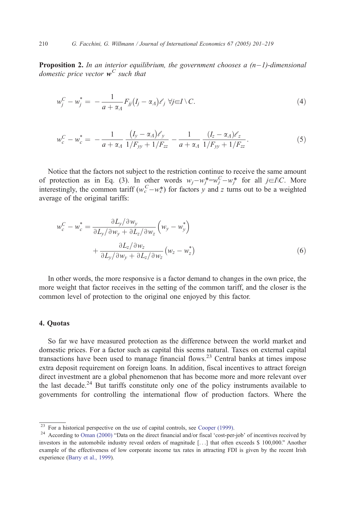**Proposition 2.** In an interior equilibrium, the government chooses a  $(n-1)$ -dimensional domestic price vector  $\mathbf{w}^C$  such that

$$
w_j^C - w_j^* = -\frac{1}{a + \alpha_A} F_{jj} (I_j - \alpha_A) \ell_j \ \forall j \in I \setminus C. \tag{4}
$$

$$
w_c^C - w_c^* = -\frac{1}{a + \alpha_A} \frac{(I_y - \alpha_A)\ell_y}{1/F_{yy} + 1/F_{zz}} - \frac{1}{a + \alpha_A} \frac{(I_z - \alpha_A)\ell_z}{1/F_{yy} + 1/F_{zz}}.
$$
(5)

Notice that the factors not subject to the restriction continue to receive the same amount of protection as in Eq. (3). In other words  $w_j - w_j^* = w_j^C - w_j^*$  for all  $j \in I \setminus C$ . More interestingly, the common tariff  $(w_c^C - w_c^*)$  for factors y and z turns out to be a weighted average of the original tariffs:

$$
w_c^C - w_c^* = \frac{\partial L_y / \partial w_y}{\partial L_y / \partial w_y + \partial L_z / \partial w_z} \left( w_y - w_y^* \right)
$$
  
+ 
$$
\frac{\partial L_z / \partial w_z}{\partial L_y / \partial w_y + \partial L_z / \partial w_z} \left( w_z - w_z^* \right)
$$
(6)

In other words, the more responsive is a factor demand to changes in the own price, the more weight that factor receives in the setting of the common tariff, and the closer is the common level of protection to the original one enjoyed by this factor.

## 4. Quotas

So far we have measured protection as the difference between the world market and domestic prices. For a factor such as capital this seems natural. Taxes on external capital transactions have been used to manage financial flows.<sup>23</sup> Central banks at times impose extra deposit requirement on foreign loans. In addition, fiscal incentives to attract foreign direct investment are a global phenomenon that has become more and more relevant over the last decade.<sup>24</sup> But tariffs constitute only one of the policy instruments available to governments for controlling the international flow of production factors. Where the

<sup>&</sup>lt;sup>23</sup> For a historical perspective on the use of capital controls, see [Cooper \(1999\).](#page-17-0)<br><sup>24</sup> According to [Oman \(2000\)](#page-18-0) "Data on the direct financial and/or fiscal 'cost-per-job' of incentives received by investors in the automobile industry reveal orders of magnitude [...] that often exceeds \$ 100,000." Another example of the effectiveness of low corporate income tax rates in attracting FDI is given by the recent Irish experience ([Barry et al., 1999\)](#page-17-0).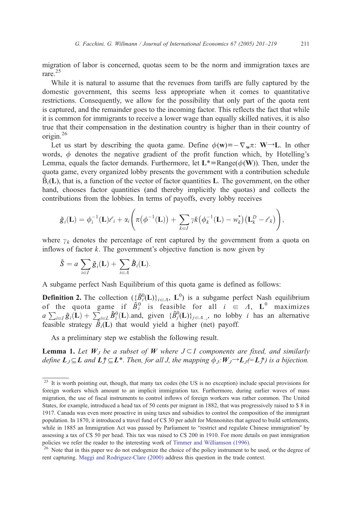migration of labor is concerned, quotas seem to be the norm and immigration taxes are rare.<sup>25</sup>

While it is natural to assume that the revenues from tariffs are fully captured by the domestic government, this seems less appropriate when it comes to quantitative restrictions. Consequently, we allow for the possibility that only part of the quota rent is captured, and the remainder goes to the incoming factor. This reflects the fact that while it is common for immigrants to receive a lower wage than equally skilled natives, it is also true that their compensation in the destination country is higher than in their country of origin.<sup>26</sup>

Let us start by describing the quota game. Define  $\phi(\mathbf{w}) = -\nabla_{\mathbf{w}} \pi$ : W $\rightarrow$ L. In other words,  $\phi$  denotes the negative gradient of the profit function which, by Hotelling's Lemma, equals the factor demands. Furthermore, let  $L^* = \text{Range}(\phi(\mathbf{W}))$ . Then, under the quota game, every organized lobby presents the government with a contribution schedule  $\vec{B}_i(L)$ , that is, a function of the vector of factor quantities L. The government, on the other hand, chooses factor quantities (and thereby implicitly the quotas) and collects the contributions from the lobbies. In terms of payoffs, every lobby receives

$$
\tilde{\mathbf{g}}_i(\mathbf{L}) = \phi_i^{-1}(\mathbf{L})\ell_i + \alpha_i \Bigg(\pi(\phi^{-1}(\mathbf{L})) + \sum_{k \in I} \gamma k (\phi_k^{-1}(\mathbf{L}) - w_k^*) (\mathbf{L}_k^D - \ell_k) \Bigg),
$$

where  $\gamma_k$  denotes the percentage of rent captured by the government from a quota on inflows of factor  $k$ . The government's objective function is now given by

$$
\tilde{S} = a \sum_{i \in I} \tilde{g}_i(\mathbf{L}) + \sum_{i \in \Lambda} \tilde{B}_i(\mathbf{L}).
$$

A subgame perfect Nash Equilibrium of this quota game is defined as follows:

**Definition 2.** The collection  $(\{\tilde{B}_i^0(L)\}_{i \in A}$ ,  $L^0)$  is a subgame perfect Nash equilibrium of the quota game if  $\tilde{B}_i^0$  is feasible for all  $i \in A$ ,  $\mathbf{L}^0$  maximizes  $a \sum_{i\in I} \tilde{g}_i(L) + \sum_{i\in L} \tilde{B}_i^0(L)$  and, given  $\{\tilde{B}_j^0(L)\}_{j\in \Lambda_{-i}}$ , no lobby *i* has an alternative feasible strategy  $\tilde{B}_i(L)$  that would yield a higher (net) payoff.

As a preliminary step we establish the following result.

**Lemma 1.** Let  $W_I$  be a subset of W where  $J \subseteq I$  components are fixed, and similarly define  $L_J \subseteq L$  and  $L_J^* \subseteq L^*$ . Then, for all J, the mapping  $\phi_J:W_J\rightarrow L_J(=L_J^*)$  is a bijection.

<sup>&</sup>lt;sup>25</sup> It is worth pointing out, though, that many tax codes (the US is no exception) include special provisions for foreign workers which amount to an implicit immigration tax. Furthermore, during earlier waves of mass migration, the use of fiscal instruments to control inflows of foreign workers was rather common. The United States, for example, introduced a head tax of 50 cents per migrant in 1882, that was progressively raised to \$ 8 in 1917. Canada was even more proactive in using taxes and subsidies to control the composition of the immigrant population. In 1870, it introduced a travel fund of C\$ 30 per adult for Mennonites that agreed to build settlements, while in 1885 an Immigration Act was passed by Parliament to "restrict and regulate Chinese immigration" by assessing a tax of C\$ 50 per head. This tax was raised to C\$ 200 in 1910. For more details on past immigration policies we refer the reader to the interesting work of [Timmer and Williamson \(1996\).](#page-18-0)<br><sup>26</sup> Note that in this paper we do not endogenize the choice of the policy instrument to be used, or the degree of

rent capturing. [Maggi and Rodriguez-Clare \(2000\)](#page-18-0) address this question in the trade context.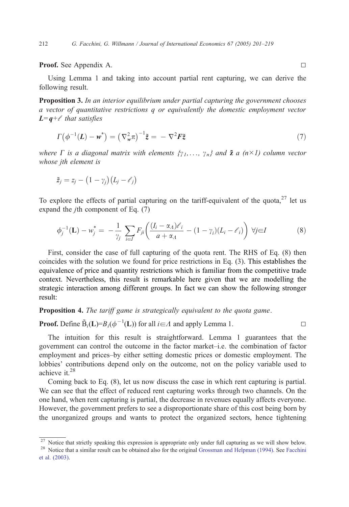**Proof.** See Appendix A.  $\Box$ 

Using Lemma 1 and taking into account partial rent capturing, we can derive the following result.

**Proposition 3.** In an interior equilibrium under partial capturing the government chooses a vector of quantitative restrictions q or equivalently the domestic employment vector  $L=q+\ell$  that satisfies

$$
\Gamma(\phi^{-1}(L) - \mathbf{w}^*) = (\nabla^2_{\mathbf{w}} \pi)^{-1} \tilde{\mathbf{z}} = -\nabla^2 F \tilde{\mathbf{z}} \tag{7}
$$

where  $\Gamma$  is a diagonal matrix with elements  $\{\gamma_1,\ldots,\gamma_n\}$  and  $\tilde{z}$  a (n×1) column vector whose *jth* element is

$$
\tilde{z}_j = z_j - (1 - \gamma_j) (L_j - \ell_j)
$$

To explore the effects of partial capturing on the tariff-equivalent of the quota, $27$  let us expand the *j*th component of Eq.  $(7)$ 

$$
\phi_j^{-1}(\mathbf{L}) - w_j^* = -\frac{1}{\gamma_j} \sum_{i \in I} F_{ji} \left( \frac{(I_i - \alpha_A)\ell_i}{a + \alpha_A} - (1 - \gamma_i)(L_i - \ell_i) \right) \, \forall j \in I \tag{8}
$$

First, consider the case of full capturing of the quota rent. The RHS of Eq. (8) then coincides with the solution we found for price restrictions in Eq. (3). This establishes the equivalence of price and quantity restrictions which is familiar from the competitive trade context. Nevertheless, this result is remarkable here given that we are modelling the strategic interaction among different groups. In fact we can show the following stronger result:

**Proposition 4.** The tariff game is strategically equivalent to the quota game.

**Proof.** Define  $\tilde{B}_i(L)=B_i(\phi^{-1}(L))$  for all  $i \in A$  and apply Lemma 1.

The intuition for this result is straightforward. Lemma 1 guarantees that the government can control the outcome in the factor market–i.e. the combination of factor employment and prices–by either setting domestic prices or domestic employment. The lobbies' contributions depend only on the outcome, not on the policy variable used to achieve it.<sup>28</sup>

Coming back to Eq. (8), let us now discuss the case in which rent capturing is partial. We can see that the effect of reduced rent capturing works through two channels. On the one hand, when rent capturing is partial, the decrease in revenues equally affects everyone. However, the government prefers to see a disproportionate share of this cost being born by the unorganized groups and wants to protect the organized sectors, hence tightening

<sup>&</sup>lt;sup>27</sup> Notice that strictly speaking this expression is appropriate only under full capturing as we will show below. <sup>28</sup> Notice that a similar result can be obtained also for the original [Grossman and Helpman \(1994\).](#page-17-0) See F et al. (2003).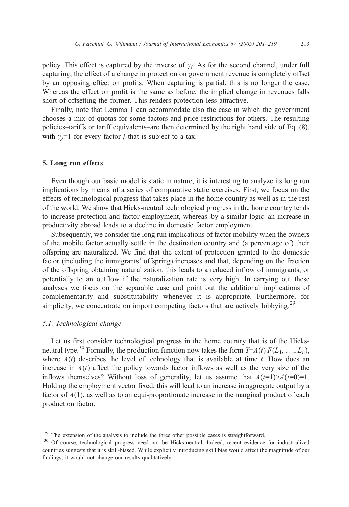policy. This effect is captured by the inverse of  $\gamma_i$ . As for the second channel, under full capturing, the effect of a change in protection on government revenue is completely offset by an opposing effect on profits. When capturing is partial, this is no longer the case. Whereas the effect on profit is the same as before, the implied change in revenues falls short of offsetting the former. This renders protection less attractive.

Finally, note that Lemma 1 can accommodate also the case in which the government chooses a mix of quotas for some factors and price restrictions for others. The resulting policies–tariffs or tariff equivalents–are then determined by the right hand side of Eq. (8), with  $\gamma_i=1$  for every factor *j* that is subject to a tax.

#### 5. Long run effects

Even though our basic model is static in nature, it is interesting to analyze its long run implications by means of a series of comparative static exercises. First, we focus on the effects of technological progress that takes place in the home country as well as in the rest of the world. We show that Hicks-neutral technological progress in the home country tends to increase protection and factor employment, whereas–by a similar logic–an increase in productivity abroad leads to a decline in domestic factor employment.

Subsequently, we consider the long run implications of factor mobility when the owners of the mobile factor actually settle in the destination country and (a percentage of) their offspring are naturalized. We find that the extent of protection granted to the domestic factor (including the immigrants' offspring) increases and that, depending on the fraction of the offspring obtaining naturalization, this leads to a reduced inflow of immigrants, or potentially to an outflow if the naturalization rate is very high. In carrying out these analyses we focus on the separable case and point out the additional implications of complementarity and substitutability whenever it is appropriate. Furthermore, for simplicity, we concentrate on import competing factors that are actively lobbying.<sup>29</sup>

## 5.1. Technological change

Let us first consider technological progress in the home country that is of the Hicksneutral type.<sup>30</sup> Formally, the production function now takes the form  $Y = A(t) F(L_1, ..., L_n)$ , where  $A(t)$  describes the level of technology that is available at time t. How does an increase in  $A(t)$  affect the policy towards factor inflows as well as the very size of the inflows themselves? Without loss of generality, let us assume that  $A(t=1) > A(t=0)=1$ . Holding the employment vector fixed, this will lead to an increase in aggregate output by a factor of  $A(1)$ , as well as to an equi-proportionate increase in the marginal product of each production factor.

 $29$  The extension of the analysis to include the three other possible cases is straightforward.

<sup>&</sup>lt;sup>30</sup> Of course, technological progress need not be Hicks-neutral. Indeed, recent evidence for industrialized countries suggests that it is skill-biased. While explicitly introducing skill bias would affect the magnitude of our findings, it would not change our results qualitatively.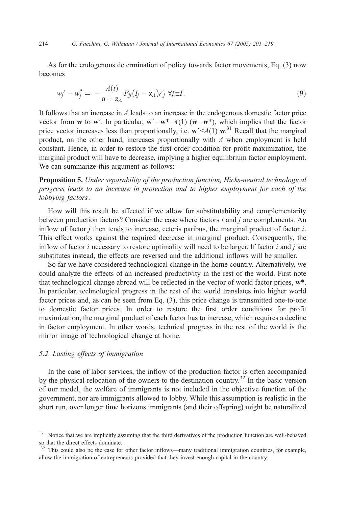As for the endogenous determination of policy towards factor movements, Eq. (3) now becomes

$$
w_j' - w_j^* = -\frac{A(t)}{a + \alpha_A} F_{jj} (I_j - \alpha_A) \ell_j \ \forall j \in I.
$$
\n
$$
(9)
$$

It follows that an increase in  $A$  leads to an increase in the endogenous domestic factor price vector from **w** to **w**'. In particular,  $\mathbf{w}' - \mathbf{w}^* = A(1) (\mathbf{w} - \mathbf{w}^*)$ , which implies that the factor price vector increases less than proportionally, i.e.  $w' \leq A(1) w^{31}$ . Recall that the marginal product, on the other hand, increases proportionally with  $\Lambda$  when employment is held constant. Hence, in order to restore the first order condition for profit maximization, the marginal product will have to decrease, implying a higher equilibrium factor employment. We can summarize this argument as follows:

Proposition 5. Under separability of the production function, Hicks-neutral technological progress leads to an increase in protection and to higher employment for each of the lobbying factors.

How will this result be affected if we allow for substitutability and complementarity between production factors? Consider the case where factors  $i$  and  $j$  are complements. An inflow of factor  $j$  then tends to increase, ceteris paribus, the marginal product of factor  $i$ . This effect works against the required decrease in marginal product. Consequently, the inflow of factor  $i$  necessary to restore optimality will need to be larger. If factor  $i$  and  $j$  are substitutes instead, the effects are reversed and the additional inflows will be smaller.

So far we have considered technological change in the home country. Alternatively, we could analyze the effects of an increased productivity in the rest of the world. First note that technological change abroad will be reflected in the vector of world factor prices,  $w^*$ . In particular, technological progress in the rest of the world translates into higher world factor prices and, as can be seen from Eq. (3), this price change is transmitted one-to-one to domestic factor prices. In order to restore the first order conditions for profit maximization, the marginal product of each factor has to increase, which requires a decline in factor employment. In other words, technical progress in the rest of the world is the mirror image of technological change at home.

#### 5.2. Lasting effects of immigration

In the case of labor services, the inflow of the production factor is often accompanied by the physical relocation of the owners to the destination country.<sup>32</sup> In the basic version of our model, the welfare of immigrants is not included in the objective function of the government, nor are immigrants allowed to lobby. While this assumption is realistic in the short run, over longer time horizons immigrants (and their offspring) might be naturalized

<sup>&</sup>lt;sup>31</sup> Notice that we are implicitly assuming that the third derivatives of the production function are well-behaved so that the direct effects dominate.

<sup>&</sup>lt;sup>32</sup> This could also be the case for other factor inflows—many traditional immigration countries, for example, allow the immigration of entrepreneurs provided that they invest enough capital in the country.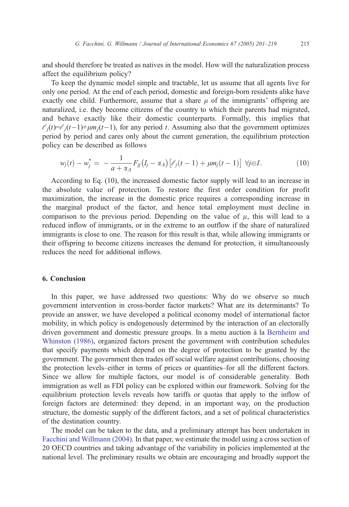and should therefore be treated as natives in the model. How will the naturalization process affect the equilibrium policy?

To keep the dynamic model simple and tractable, let us assume that all agents live for only one period. At the end of each period, domestic and foreign-born residents alike have exactly one child. Furthermore, assume that a share  $\mu$  of the immigrants' offspring are naturalized, i.e. they become citizens of the country to which their parents had migrated, and behave exactly like their domestic counterparts. Formally, this implies that  $\ell_j(t)=\ell_j(t-1)+\mu m_j(t-1)$ , for any period t. Assuming also that the government optimizes period by period and cares only about the current generation, the equilibrium protection policy can be described as follows

$$
w_j(t) - w_j^* = -\frac{1}{a + \alpha_A} F_{jj} (I_j - \alpha_A) [\ell_j(t-1) + \mu m_j(t-1)] \ \forall j \in I.
$$
 (10)

According to Eq. (10), the increased domestic factor supply will lead to an increase in the absolute value of protection. To restore the first order condition for profit maximization, the increase in the domestic price requires a corresponding increase in the marginal product of the factor, and hence total employment must decline in comparison to the previous period. Depending on the value of  $\mu$ , this will lead to a reduced inflow of immigrants, or in the extreme to an outflow if the share of naturalized immigrants is close to one. The reason for this result is that, while allowing immigrants or their offspring to become citizens increases the demand for protection, it simultaneously reduces the need for additional inflows.

#### 6. Conclusion

In this paper, we have addressed two questions: Why do we observe so much government intervention in cross-border factor markets? What are its determinants? To provide an answer, we have developed a political economy model of international factor mobility, in which policy is endogenously determined by the interaction of an electorally driven government and domestic pressure groups. In a menu auction a` la [Bernheim and](#page-17-0) Whinston (1986), organized factors present the government with contribution schedules that specify payments which depend on the degree of protection to be granted by the government. The government then trades off social welfare against contributions, choosing the protection levels–either in terms of prices or quantities–for all the different factors. Since we allow for multiple factors, our model is of considerable generality. Both immigration as well as FDI policy can be explored within our framework. Solving for the equilibrium protection levels reveals how tariffs or quotas that apply to the inflow of foreign factors are determined: they depend, in an important way, on the production structure, the domestic supply of the different factors, and a set of political characteristics of the destination country.

The model can be taken to the data, and a preliminary attempt has been undertaken in [Facchini and Willmann \(2004\).](#page-17-0) In that paper, we estimate the model using a cross section of 20 OECD countries and taking advantage of the variability in policies implemented at the national level. The preliminary results we obtain are encouraging and broadly support the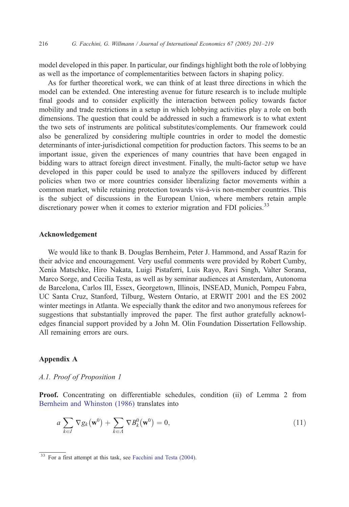model developed in this paper. In particular, our findings highlight both the role of lobbying as well as the importance of complementarities between factors in shaping policy.

As for further theoretical work, we can think of at least three directions in which the model can be extended. One interesting avenue for future research is to include multiple final goods and to consider explicitly the interaction between policy towards factor mobility and trade restrictions in a setup in which lobbying activities play a role on both dimensions. The question that could be addressed in such a framework is to what extent the two sets of instruments are political substitutes/complements. Our framework could also be generalized by considering multiple countries in order to model the domestic determinants of inter-jurisdictional competition for production factors. This seems to be an important issue, given the experiences of many countries that have been engaged in bidding wars to attract foreign direct investment. Finally, the multi-factor setup we have developed in this paper could be used to analyze the spillovers induced by different policies when two or more countries consider liberalizing factor movements within a common market, while retaining protection towards vis-à-vis non-member countries. This is the subject of discussions in the European Union, where members retain ample discretionary power when it comes to exterior migration and FDI policies.<sup>33</sup>

#### Acknowledgement

We would like to thank B. Douglas Bernheim, Peter J. Hammond, and Assaf Razin for their advice and encouragement. Very useful comments were provided by Robert Cumby, Xenia Matschke, Hiro Nakata, Luigi Pistaferri, Luis Rayo, Ravi Singh, Valter Sorana, Marco Sorge, and Cecilia Testa, as well as by seminar audiences at Amsterdam, Autonoma de Barcelona, Carlos III, Essex, Georgetown, Illinois, INSEAD, Munich, Pompeu Fabra, UC Santa Cruz, Stanford, Tilburg, Western Ontario, at ERWIT 2001 and the ES 2002 winter meetings in Atlanta. We especially thank the editor and two anonymous referees for suggestions that substantially improved the paper. The first author gratefully acknowledges financial support provided by a John M. Olin Foundation Dissertation Fellowship. All remaining errors are ours.

## Appendix A

### A.1. Proof of Proposition 1

Proof. Concentrating on differentiable schedules, condition (ii) of Lemma 2 from [Bernheim and Whinston \(1986\)](#page-17-0) translates into

$$
a\sum_{k\in I}\nabla g_k(\mathbf{w}^0)+\sum_{k\in\Lambda}\nabla B_k^0(\mathbf{w}^0)=0,
$$
\n(11)

 $33$  For a first attempt at this task, see [Facchini and Testa \(2004\).](#page-17-0)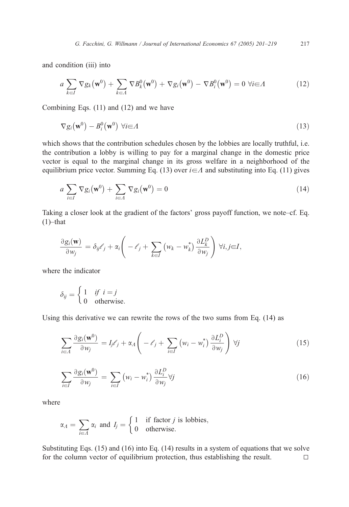and condition (iii) into

$$
a\sum_{k\in I}\nabla g_k(\mathbf{w}^0)+\sum_{k\in A}\nabla B_k^0(\mathbf{w}^0)+\nabla g_i(\mathbf{w}^0)-\nabla B_i^0(\mathbf{w}^0)=0\,\,\forall i\in\Lambda\tag{12}
$$

Combining Eqs. (11) and (12) and we have

$$
\nabla g_i(\mathbf{w}^0) - B_i^0(\mathbf{w}^0) \ \forall i \in \Lambda
$$
 (13)

which shows that the contribution schedules chosen by the lobbies are locally truthful, i.e. the contribution a lobby is willing to pay for a marginal change in the domestic price vector is equal to the marginal change in its gross welfare in a neighborhood of the equilibrium price vector. Summing Eq. (13) over  $i \in A$  and substituting into Eq. (11) gives

$$
a\sum_{i\in I}\nabla g_i(\mathbf{w}^0)+\sum_{i\in A}\nabla g_i(\mathbf{w}^0)=0
$$
\n(14)

Taking a closer look at the gradient of the factors' gross payoff function, we note–cf. Eq.  $(1)$ –that

$$
\frac{\partial g_i(\mathbf{w})}{\partial w_j} = \delta_{ij} \ell_j + \alpha_i \left( -\ell_j + \sum_{k \in I} (w_k - w_k^*) \frac{\partial L_k^D}{\partial w_j} \right) \forall i, j \in I,
$$

where the indicator

$$
\delta_{ij} = \begin{cases} 1 & \text{if } i = j \\ 0 & \text{otherwise.} \end{cases}
$$

Using this derivative we can rewrite the rows of the two sums from Eq. (14) as

$$
\sum_{i\in A} \frac{\partial g_i(\mathbf{w}^0)}{\partial w_j} = I_j \mathcal{E}_j + \alpha_A \left( -\mathcal{E}_j + \sum_{i\in I} (w_i - w_i^*) \frac{\partial L_i^D}{\partial w_j} \right) \forall j
$$
(15)

$$
\sum_{i\in I} \frac{\partial g_i(\mathbf{w}^0)}{\partial w_j} = \sum_{i\in I} (w_i - w_i^*) \frac{\partial L_i^D}{\partial w_j} \forall j
$$
\n(16)

where

$$
\alpha_A = \sum_{i \in A} \alpha_i
$$
 and  $I_j = \begin{cases} 1 & \text{if factor } j \text{ is lobbies,} \\ 0 & \text{otherwise.} \end{cases}$ 

Substituting Eqs. (15) and (16) into Eq. (14) results in a system of equations that we solve for the column vector of equilibrium protection, thus establishing the result.  $\Box$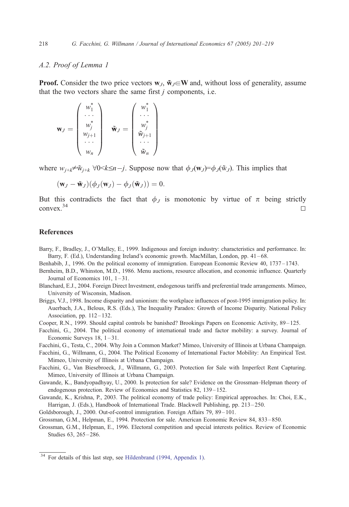#### <span id="page-17-0"></span>A.2. Proof of Lemma 1

**Proof.** Consider the two price vectors  $\mathbf{w}_J$ ,  $\mathbf{\tilde{w}}_J \in \mathbf{W}$  and, without loss of generality, assume that the two vectors share the same first  $j$  components, i.e.

$$
\mathbf{w}_J = \begin{pmatrix} w_1^* \\ \cdots \\ w_j^* \\ \cdots \\ w_{j+1} \\ \cdots \\ w_n \end{pmatrix} \quad \widetilde{\mathbf{w}}_J = \begin{pmatrix} w_1^* \\ \cdots \\ w_j^* \\ \widetilde{w}_{j+1} \\ \cdots \\ \widetilde{w}_n \end{pmatrix}
$$

where  $w_{j+k} \neq \tilde{w}_{j+k}$   $\forall 0 \leq k \leq n-j$ . Suppose now that  $\phi_J(\mathbf{w}_J) = \phi_J(\tilde{\mathbf{w}}_J)$ . This implies that

$$
(\mathbf{w}_J - \tilde{\mathbf{w}}_J)(\phi_J(\mathbf{w}_J) - \phi_J(\tilde{\mathbf{w}}_J)) = 0.
$$

But this contradicts the fact that  $\phi_J$  is monotonic by virtue of  $\pi$  being strictly convex <sup>34</sup>  $\Box$ convex.<sup>34</sup>

## References

- Barry, F., Bradley, J., O'Malley, E., 1999. Indigenous and foreign industry: characteristics and performance. In: Barry, F. (Ed.), Understanding Ireland's economic growth. MacMillan, London, pp. 41 – 68.
- Benhabib, J., 1996. On the political economy of immigration. European Economic Review 40, 1737 1743.
- Bernheim, B.D., Whinston, M.D., 1986. Menu auctions, resource allocation, and economic influence. Quarterly Journal of Economics 101,  $1-31$ .
- Blanchard, E.J., 2004. Foreign Direct Investment, endogenous tariffs and preferential trade arrangements. Mimeo, University of Wisconsin, Madison.
- Briggs, V.J., 1998. Income disparity and unionism: the workplace influences of post-1995 immigration policy. In: Auerbach, J.A., Belous, R.S. (Eds.), The Inequality Paradox: Growth of Income Disparity. National Policy Association, pp.  $112 - 132$ .
- Cooper, R.N., 1999. Should capital controls be banished? Brookings Papers on Economic Activity, 89 125.
- Facchini, G., 2004. The political economy of international trade and factor mobility: a survey. Journal of Economic Surveys  $18$ ,  $1-31$ .

Facchini, G., Testa, C., 2004. Why Join a Common Market? Mimeo, University of Illinois at Urbana Champaign.

Facchini, G., Willmann, G., 2004. The Political Economy of International Factor Mobility: An Empirical Test. Mimeo, University of Illinois at Urbana Champaign.

- Facchini, G., Van Biesebroeck, J., Willmann, G., 2003. Protection for Sale with Imperfect Rent Capturing. Mimeo, University of Illinois at Urbana Champaign.
- Gawande, K., Bandyopadhyay, U., 2000. Is protection for sale? Evidence on the Grossman–Helpman theory of endogenous protection. Review of Economics and Statistics 82, 139–152.
- Gawande, K., Krishna, P., 2003. The political economy of trade policy: Empirical approaches. In: Choi, E.K., Harrigan, J. (Eds.), Handbook of International Trade. Blackwell Publishing, pp. 213 – 250.

Goldsborough, J., 2000. Out-of-control immigration. Foreign Affairs 79, 89 – 101.

Grossman, G.M., Helpman, E., 1994. Protection for sale. American Economic Review 84, 833 – 850.

Grossman, G.M., Helpman, E., 1996. Electoral competition and special interests politics. Review of Economic Studies 63, 265 – 286.

<sup>&</sup>lt;sup>34</sup> For details of this last step, see [Hildenbrand \(1994, Appendix 1\).](#page-18-0)